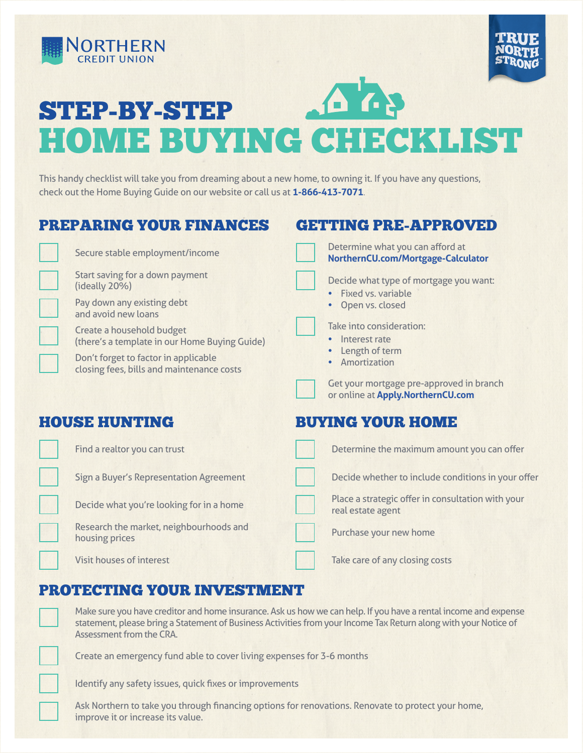



**Any** STEP-BY-STEP HOME BUYING CHECKLIST

This handy checklist will take you from dreaming about a new home, to owning it. If you have any questions, check out the Home Buying Guide on our website or call us at **1-866-413-7071**.

| <b>PREPARING YOUR FINANCES</b> |                                                                                                                                                                                                                                                                          |  | <b>GETTING PRE-APPROVED</b>                                                                                                                                                                                             |  |
|--------------------------------|--------------------------------------------------------------------------------------------------------------------------------------------------------------------------------------------------------------------------------------------------------------------------|--|-------------------------------------------------------------------------------------------------------------------------------------------------------------------------------------------------------------------------|--|
|                                | Secure stable employment/income                                                                                                                                                                                                                                          |  | Determine what you can afford at<br>NorthernCU.com/Mortgage-Calculator                                                                                                                                                  |  |
|                                | Start saving for a down payment<br>(ideally 20%)<br>Pay down any existing debt<br>and avoid new loans<br>Create a household budget<br>(there's a template in our Home Buying Guide)<br>Don't forget to factor in applicable<br>closing fees, bills and maintenance costs |  | Decide what type of mortgage you want:<br>Fixed vs. variable<br>Open vs. closed<br>$\bullet$<br>Take into consideration:<br>Interest rate<br>Length of term<br>Amortization<br>Get your mortgage pre-approved in branch |  |
|                                | <b>HOUSE HUNTING</b>                                                                                                                                                                                                                                                     |  | or online at Apply.NorthernCU.com<br><b>BUYING YOUR HOME</b>                                                                                                                                                            |  |
|                                | Find a realtor you can trust<br><b>Sign a Buyer's Representation Agreement</b>                                                                                                                                                                                           |  | Determine the maximum amount you can offer<br>Decide whether to include conditions in your offer                                                                                                                        |  |
|                                | Decide what you're looking for in a home<br>Research the market, neighbourhoods and<br>housing prices                                                                                                                                                                    |  | Place a strategic offer in consultation with your<br>real estate agent<br>Purchase your new home                                                                                                                        |  |

Visit houses of interest

# Take care of any closing costs

# PROTECTING YOUR INVESTMENT

Make sure you have creditor and home insurance. Ask us how we can help. If you have a rental income and expense statement, please bring a Statement of Business Activities from your Income Tax Return along with your Notice of Assessment from the CRA.

Create an emergency fund able to cover living expenses for 3-6 months

Identify any safety issues, quick fixes or improvements

Ask Northern to take you through financing options for renovations. Renovate to protect your home, improve it or increase its value.